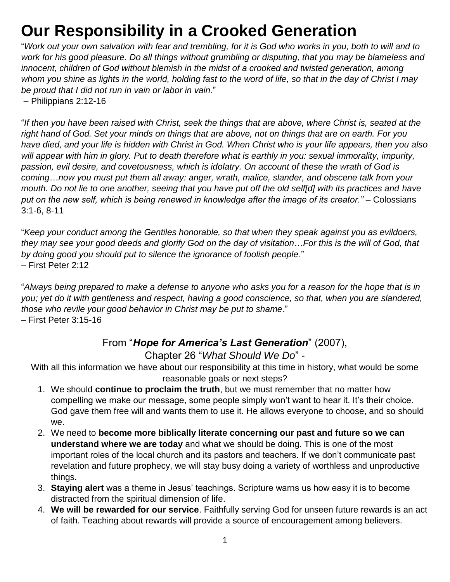## **Our Responsibility in a Crooked Generation**

"*Work out your own salvation with fear and trembling, for it is God who works in you, both to will and to work for his good pleasure. Do all things without grumbling or disputing, that you may be blameless and*  innocent, children of God without blemish in the midst of a crooked and twisted generation, among *whom you shine as lights in the world, holding fast to the word of life, so that in the day of Christ I may be proud that I did not run in vain or labor in vain*."

– Philippians 2:12-16

"*If then you have been raised with Christ, seek the things that are above, where Christ is, seated at the right hand of God. Set your minds on things that are above, not on things that are on earth. For you have died, and your life is hidden with Christ in God. When Christ who is your life appears, then you also*  will appear with him in glory. Put to death therefore what is earthly in you: sexual immorality, impurity, *passion, evil desire, and covetousness, which is idolatry. On account of these the wrath of God is coming*…*now you must put them all away: anger, wrath, malice, slander, and obscene talk from your mouth. Do not lie to one another, seeing that you have put off the old self[d] with its practices and have put on the new self, which is being renewed in knowledge after the image of its creator."* – Colossians 3:1-6, 8-11

"*Keep your conduct among the Gentiles honorable, so that when they speak against you as evildoers, they may see your good deeds and glorify God on the day of visitation*…*For this is the will of God, that by doing good you should put to silence the ignorance of foolish people*." – First Peter 2:12

"*Always being prepared to make a defense to anyone who asks you for a reason for the hope that is in you; yet do it with gentleness and respect, having a good conscience, so that, when you are slandered, those who revile your good behavior in Christ may be put to shame*." – First Peter 3:15-16

## From "*Hope for America's Last Generation*" (2007),

Chapter 26 "*What Should We Do*" -

With all this information we have about our responsibility at this time in history, what would be some reasonable goals or next steps?

- 1. We should **continue to proclaim the truth**, but we must remember that no matter how compelling we make our message, some people simply won't want to hear it. It's their choice. God gave them free will and wants them to use it. He allows everyone to choose, and so should we.
- 2. We need to **become more biblically literate concerning our past and future so we can understand where we are today** and what we should be doing. This is one of the most important roles of the local church and its pastors and teachers. If we don't communicate past revelation and future prophecy, we will stay busy doing a variety of worthless and unproductive things.
- 3. **Staying alert** was a theme in Jesus' teachings. Scripture warns us how easy it is to become distracted from the spiritual dimension of life.
- 4. **We will be rewarded for our service**. Faithfully serving God for unseen future rewards is an act of faith. Teaching about rewards will provide a source of encouragement among believers.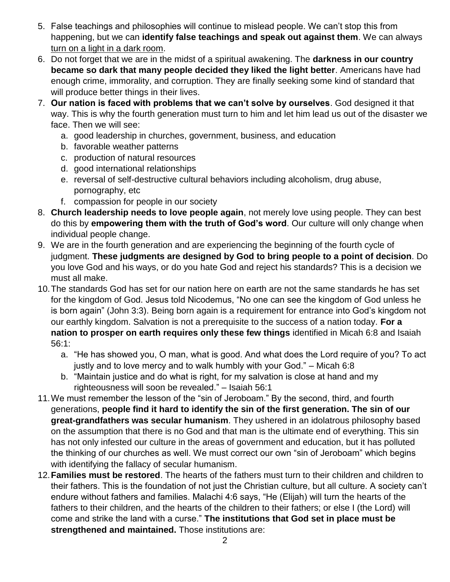- 5. False teachings and philosophies will continue to mislead people. We can't stop this from happening, but we can **identify false teachings and speak out against them**. We can always turn on a light in a dark room.
- 6. Do not forget that we are in the midst of a spiritual awakening. The **darkness in our country became so dark that many people decided they liked the light better**. Americans have had enough crime, immorality, and corruption. They are finally seeking some kind of standard that will produce better things in their lives.
- 7. **Our nation is faced with problems that we can't solve by ourselves**. God designed it that way. This is why the fourth generation must turn to him and let him lead us out of the disaster we face. Then we will see:
	- a. good leadership in churches, government, business, and education
	- b. favorable weather patterns
	- c. production of natural resources
	- d. good international relationships
	- e. reversal of self-destructive cultural behaviors including alcoholism, drug abuse, pornography, etc
	- f. compassion for people in our society
- 8. **Church leadership needs to love people again**, not merely love using people. They can best do this by **empowering them with the truth of God's word**. Our culture will only change when individual people change.
- 9. We are in the fourth generation and are experiencing the beginning of the fourth cycle of judgment. **These judgments are designed by God to bring people to a point of decision**. Do you love God and his ways, or do you hate God and reject his standards? This is a decision we must all make.
- 10.The standards God has set for our nation here on earth are not the same standards he has set for the kingdom of God. Jesus told Nicodemus, "No one can see the kingdom of God unless he is born again" (John 3:3). Being born again is a requirement for entrance into God's kingdom not our earthly kingdom. Salvation is not a prerequisite to the success of a nation today. **For a nation to prosper on earth requires only these few things** identified in Micah 6:8 and Isaiah 56:1:
	- a. "He has showed you, O man, what is good. And what does the Lord require of you? To act justly and to love mercy and to walk humbly with your God." – Micah 6:8
	- b. "Maintain justice and do what is right, for my salvation is close at hand and my righteousness will soon be revealed." – Isaiah 56:1
- 11.We must remember the lesson of the "sin of Jeroboam." By the second, third, and fourth generations, **people find it hard to identify the sin of the first generation. The sin of our great-grandfathers was secular humanism**. They ushered in an idolatrous philosophy based on the assumption that there is no God and that man is the ultimate end of everything. This sin has not only infested our culture in the areas of government and education, but it has polluted the thinking of our churches as well. We must correct our own "sin of Jeroboam" which begins with identifying the fallacy of secular humanism.
- 12.**Families must be restored**. The hearts of the fathers must turn to their children and children to their fathers. This is the foundation of not just the Christian culture, but all culture. A society can't endure without fathers and families. Malachi 4:6 says, "He (Elijah) will turn the hearts of the fathers to their children, and the hearts of the children to their fathers; or else I (the Lord) will come and strike the land with a curse." **The institutions that God set in place must be strengthened and maintained.** Those institutions are: